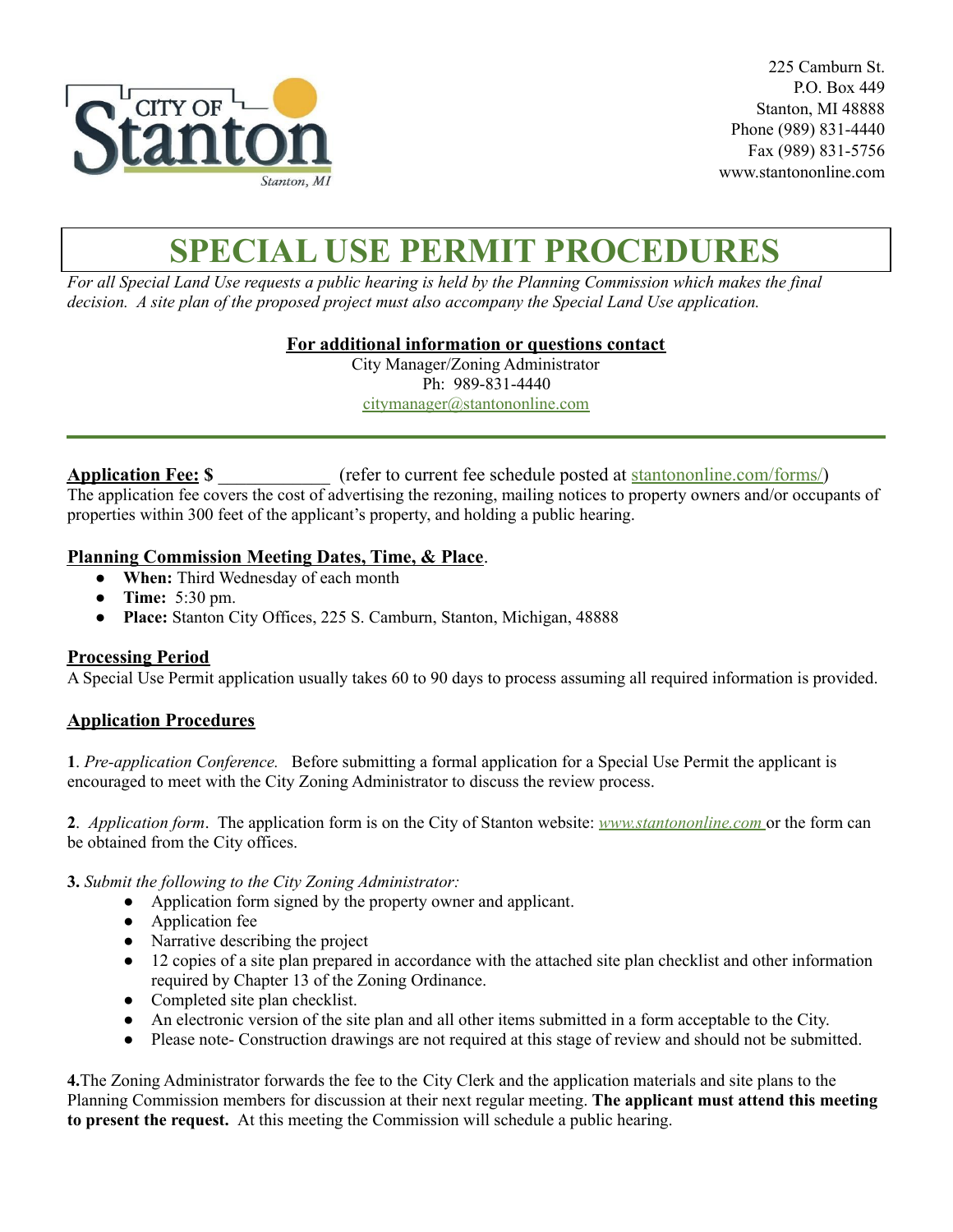

225 Camburn St. P.O. Box 449 Stanton, MI 48888 Phone (989) 831-4440 Fax (989) 831-5756 www.stantononline.com

# **SPECIAL USE PERMIT PROCEDURES**

For all Special Land Use requests a public hearing is held by the Planning Commission which makes the final *decision. A site plan of the proposed project must also accompany the Special Land Use application.*

**For additional information or questions contact**

City Manager/Zoning Administrator Ph: 989-831-4440 [citymanager@stantononline.com](mailto:citymanager@stantononline.com)

**Application Fee: \$** \_\_\_\_\_\_\_\_\_\_\_\_ (refer to current fee schedule posted at [stantononline.com/forms/\)](https://stantononline.com/forms/) The application fee covers the cost of advertising the rezoning, mailing notices to property owners and/or occupants of properties within 300 feet of the applicant's property, and holding a public hearing.

### **Planning Commission Meeting Dates, Time, & Place**.

- **When:** Third Wednesday of each month
- **Time:** 5:30 pm.
- **Place:** Stanton City Offices, 225 S. Camburn, Stanton, Michigan, 48888

### **Processing Period**

A Special Use Permit application usually takes 60 to 90 days to process assuming all required information is provided.

### **Application Procedures**

**1**. *Pre-application Conference.* Before submitting a formal application for a Special Use Permit the applicant is encouraged to meet with the City Zoning Administrator to discuss the review process.

**2**. *Application form*. The application form is on the City of Stanton website: *[www.s](http://www.waytwp.org)tantononline.com* or the form can be obtained from the City offices.

**3.** *Submit the following to the City Zoning Administrator:*

- Application form signed by the property owner and applicant.
- Application fee
- Narrative describing the project
- 12 copies of a site plan prepared in accordance with the attached site plan checklist and other information required by Chapter 13 of the Zoning Ordinance.
- Completed site plan checklist.
- An electronic version of the site plan and all other items submitted in a form acceptable to the City.
- Please note- Construction drawings are not required at this stage of review and should not be submitted.

**4.**The Zoning Administrator forwards the fee to the City Clerk and the application materials and site plans to the Planning Commission members for discussion at their next regular meeting. **The applicant must attend this meeting to present the request.** At this meeting the Commission will schedule a public hearing.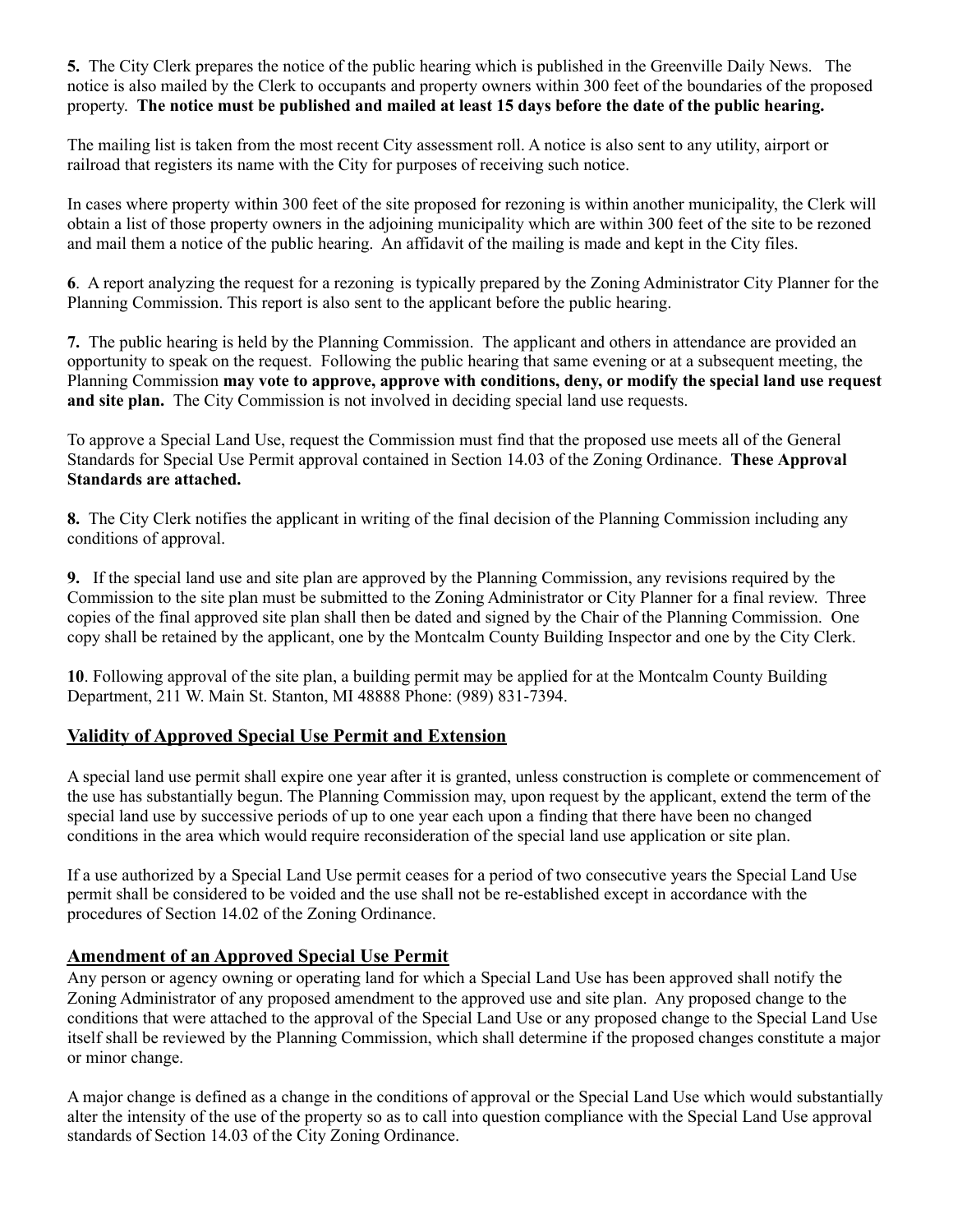**5.** The City Clerk prepares the notice of the public hearing which is published in the Greenville Daily News. The notice is also mailed by the Clerk to occupants and property owners within 300 feet of the boundaries of the proposed property. The notice must be published and mailed at least 15 days before the date of the public hearing.

The mailing list is taken from the most recent City assessment roll. A notice is also sent to any utility, airport or railroad that registers its name with the City for purposes of receiving such notice.

In cases where property within 300 feet of the site proposed for rezoning is within another municipality, the Clerk will obtain a list of those property owners in the adjoining municipality which are within 300 feet of the site to be rezoned and mail them a notice of the public hearing. An affidavit of the mailing is made and kept in the City files.

**6**. A report analyzing the request for a rezoning is typically prepared by the Zoning Administrator City Planner for the Planning Commission. This report is also sent to the applicant before the public hearing.

**7.** The public hearing is held by the Planning Commission. The applicant and others in attendance are provided an opportunity to speak on the request. Following the public hearing that same evening or at a subsequent meeting, the Planning Commission **may vote to approve, approve with conditions, deny, or modify the special land use request and site plan.** The City Commission is not involved in deciding special land use requests.

To approve a Special Land Use, request the Commission must find that the proposed use meets all of the General Standards for Special Use Permit approval contained in Section 14.03 of the Zoning Ordinance. **These Approval Standards are attached.**

**8.** The City Clerk notifies the applicant in writing of the final decision of the Planning Commission including any conditions of approval.

**9.** If the special land use and site plan are approved by the Planning Commission, any revisions required by the Commission to the site plan must be submitted to the Zoning Administrator or City Planner for a final review. Three copies of the final approved site plan shall then be dated and signed by the Chair of the Planning Commission. One copy shall be retained by the applicant, one by the Montcalm County Building Inspector and one by the City Clerk.

**10**. Following approval of the site plan, a building permit may be applied for at the Montcalm County Building Department, 211 W. Main St. Stanton, MI 48888 Phone: (989) 831-7394.

### **Validity of Approved Special Use Permit and Extension**

A special land use permit shall expire one year after it is granted, unless construction is complete or commencement of the use has substantially begun. The Planning Commission may, upon request by the applicant, extend the term of the special land use by successive periods of up to one year each upon a finding that there have been no changed conditions in the area which would require reconsideration of the special land use application or site plan.

If a use authorized by a Special Land Use permit ceases for a period of two consecutive years the Special Land Use permit shall be considered to be voided and the use shall not be re-established except in accordance with the procedures of Section 14.02 of the Zoning Ordinance.

#### **Amendment of an Approved Special Use Permit**

Any person or agency owning or operating land for which a Special Land Use has been approved shall notify the Zoning Administrator of any proposed amendment to the approved use and site plan. Any proposed change to the conditions that were attached to the approval of the Special Land Use or any proposed change to the Special Land Use itself shall be reviewed by the Planning Commission, which shall determine if the proposed changes constitute a major or minor change.

A major change is defined as a change in the conditions of approval or the Special Land Use which would substantially alter the intensity of the use of the property so as to call into question compliance with the Special Land Use approval standards of Section 14.03 of the City Zoning Ordinance.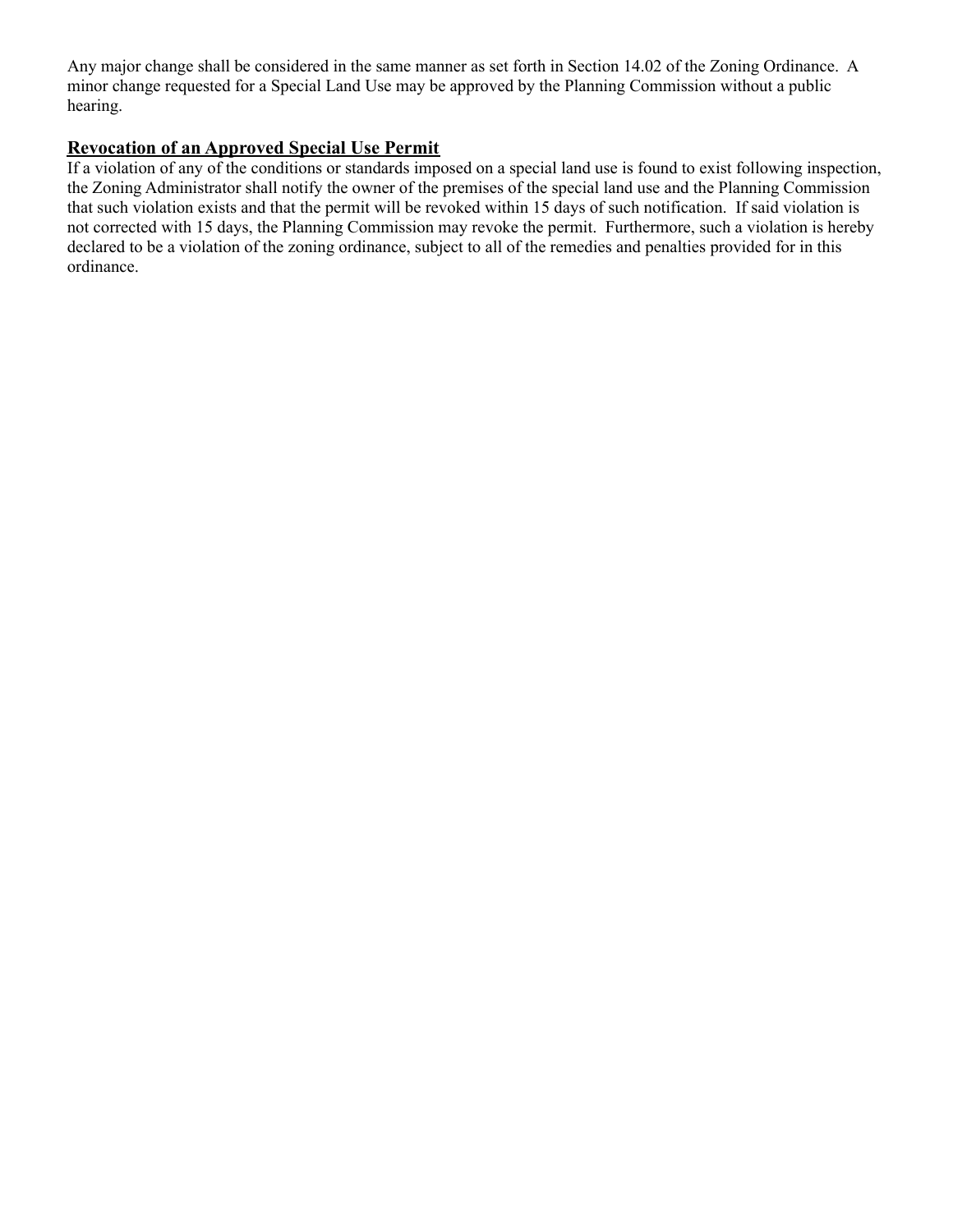Any major change shall be considered in the same manner as set forth in Section 14.02 of the Zoning Ordinance. A minor change requested for a Special Land Use may be approved by the Planning Commission without a public hearing.

## **Revocation of an Approved Special Use Permit**

If a violation of any of the conditions or standards imposed on a special land use is found to exist following inspection, the Zoning Administrator shall notify the owner of the premises of the special land use and the Planning Commission that such violation exists and that the permit will be revoked within 15 days of such notification. If said violation is not corrected with 15 days, the Planning Commission may revoke the permit. Furthermore, such a violation is hereby declared to be a violation of the zoning ordinance, subject to all of the remedies and penalties provided for in this ordinance.